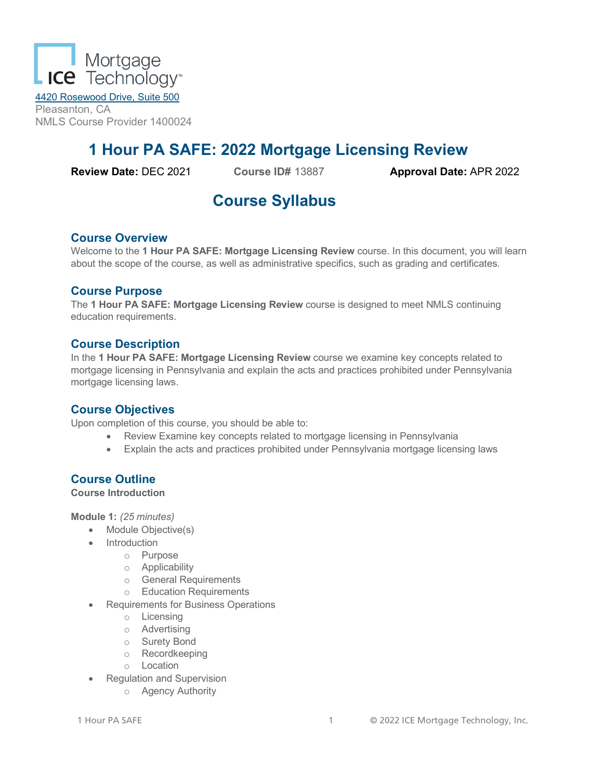

4420 Rosewood Drive, Suite 500 Pleasanton, CA NMLS Course Provider 1400024

# **1 Hour PA SAFE: 2022 Mortgage Licensing Review**

**Review Date:** DEC 2021 **Course ID#** 13887 **Approval Date:** APR 2022

# **Course Syllabus**

# **Course Overview**

Welcome to the **1 Hour PA SAFE: Mortgage Licensing Review** course. In this document, you will learn about the scope of the course, as well as administrative specifics, such as grading and certificates.

#### **Course Purpose**

The **1 Hour PA SAFE: Mortgage Licensing Review** course is designed to meet NMLS continuing education requirements.

#### **Course Description**

In the **1 Hour PA SAFE: Mortgage Licensing Review** course we examine key concepts related to mortgage licensing in Pennsylvania and explain the acts and practices prohibited under Pennsylvania mortgage licensing laws.

#### **Course Objectives**

Upon completion of this course, you should be able to:

- Review Examine key concepts related to mortgage licensing in Pennsylvania
- Explain the acts and practices prohibited under Pennsylvania mortgage licensing laws

# **Course Outline**

**Course Introduction**

**Module 1:** *(25 minutes)*

- Module Objective(s)
- Introduction
	- o Purpose
	- o Applicability
	- o General Requirements
	- o Education Requirements
- Requirements for Business Operations
	- o Licensing
	- o Advertising
	- o Surety Bond
	- o Recordkeeping
	- o Location
- Regulation and Supervision
	- o Agency Authority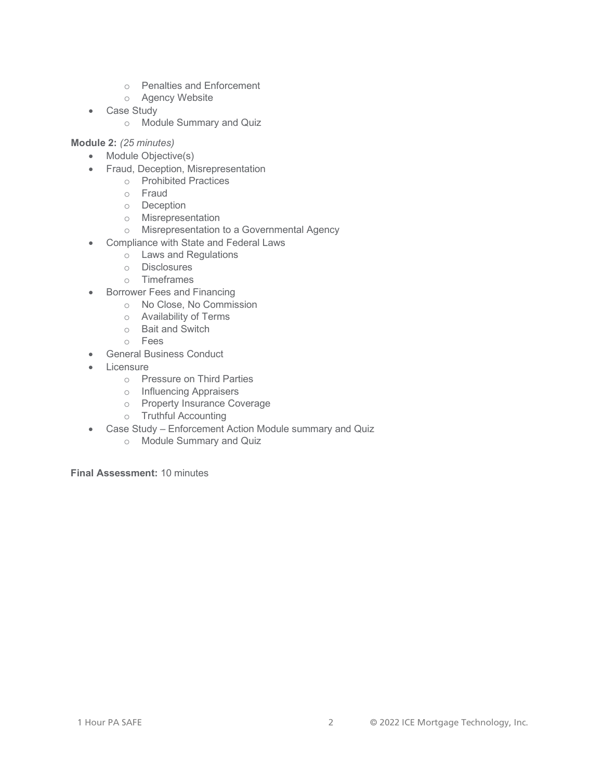- o Penalties and Enforcement
- o Agency Website
- Case Study
	- o Module Summary and Quiz

#### **Module 2:** *(25 minutes)*

- Module Objective(s)
- Fraud, Deception, Misrepresentation
	- o Prohibited Practices
	- o Fraud
	- o Deception
	- o Misrepresentation
	- o Misrepresentation to a Governmental Agency
- Compliance with State and Federal Laws
	- o Laws and Regulations
	- o Disclosures
	- o Timeframes
- Borrower Fees and Financing
	- o No Close, No Commission
	- o Availability of Terms
	- o Bait and Switch
	- o Fees
- General Business Conduct
- **Licensure** 
	- o Pressure on Third Parties
	- o Influencing Appraisers
	- o Property Insurance Coverage
	- o Truthful Accounting
- Case Study Enforcement Action Module summary and Quiz
	- o Module Summary and Quiz

**Final Assessment:** 10 minutes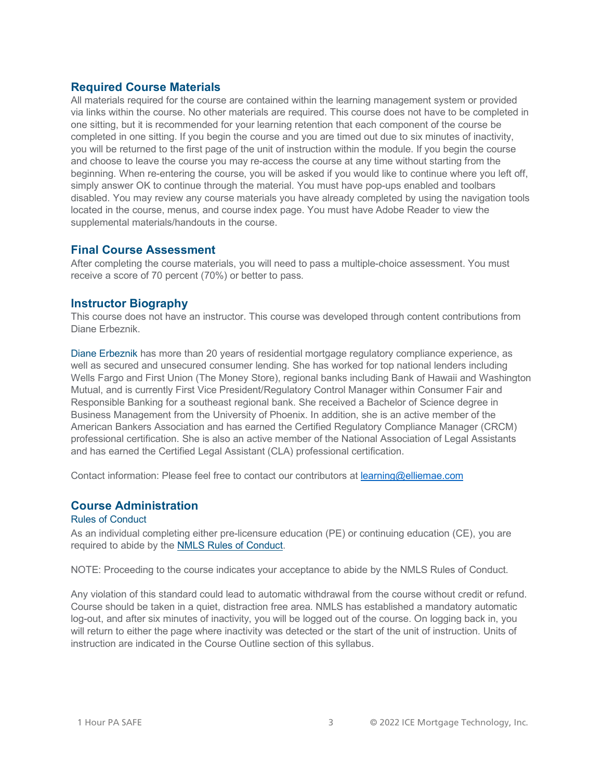#### **Required Course Materials**

All materials required for the course are contained within the learning management system or provided via links within the course. No other materials are required. This course does not have to be completed in one sitting, but it is recommended for your learning retention that each component of the course be completed in one sitting. If you begin the course and you are timed out due to six minutes of inactivity, you will be returned to the first page of the unit of instruction within the module. If you begin the course and choose to leave the course you may re-access the course at any time without starting from the beginning. When re-entering the course, you will be asked if you would like to continue where you left off, simply answer OK to continue through the material. You must have pop-ups enabled and toolbars disabled. You may review any course materials you have already completed by using the navigation tools located in the course, menus, and course index page. You must have Adobe Reader to view the supplemental materials/handouts in the course.

#### **Final Course Assessment**

After completing the course materials, you will need to pass a multiple-choice assessment. You must receive a score of 70 percent (70%) or better to pass.

# **Instructor Biography**

This course does not have an instructor. This course was developed through content contributions from Diane Erbeznik.

Diane Erbeznik has more than 20 years of residential mortgage regulatory compliance experience, as well as secured and unsecured consumer lending. She has worked for top national lenders including Wells Fargo and First Union (The Money Store), regional banks including Bank of Hawaii and Washington Mutual, and is currently First Vice President/Regulatory Control Manager within Consumer Fair and Responsible Banking for a southeast regional bank. She received a Bachelor of Science degree in Business Management from the University of Phoenix. In addition, she is an active member of the American Bankers Association and has earned the Certified Regulatory Compliance Manager (CRCM) professional certification. She is also an active member of the National Association of Legal Assistants and has earned the Certified Legal Assistant (CLA) professional certification.

Contact information: Please feel free to contact our contributors at [learning@elliemae.com](mailto:learning@elliemae.com)

#### **Course Administration**

#### Rules of Conduct

As an individual completing either pre-licensure education (PE) or continuing education (CE), you are required to abide by the [NMLS Rules of Conduct.](https://mortgage.nationwidelicensingsystem.org/courseprovider/Course%20Provider%20Resources/Rules%20of%20Conduct%20for%20NMLS%20Approved2.pdf)

NOTE: Proceeding to the course indicates your acceptance to abide by the NMLS Rules of Conduct.

Any violation of this standard could lead to automatic withdrawal from the course without credit or refund. Course should be taken in a quiet, distraction free area. NMLS has established a mandatory automatic log-out, and after six minutes of inactivity, you will be logged out of the course. On logging back in, you will return to either the page where inactivity was detected or the start of the unit of instruction. Units of instruction are indicated in the Course Outline section of this syllabus.